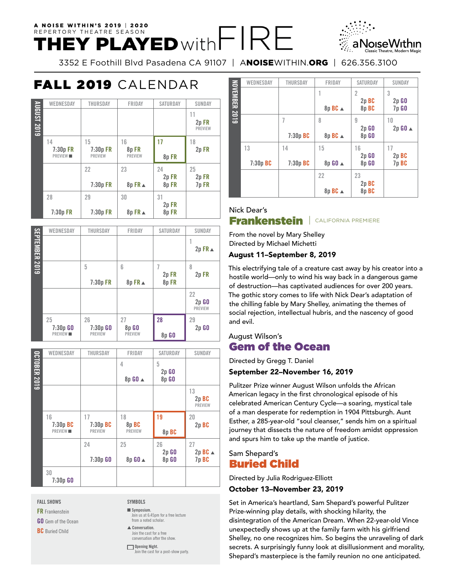# A NOISE WITHIN'S 2019 | 2020 REPERTORY THEATRE SEASON  $\mathsf{H}\mathsf{E}\mathsf{Y}$  PLAYED with  $\mathsf{\vdash}\mathsf{R}\mathsf{\vdash}$

3352 E Foothill Blvd Pasadena CA 91107 | ANOISEWITHIN.ORG | 626.356.3100

# FALL 2019 CALENDAR

|             | WEDNESDAY                              | <b>THURSDAY</b>                  | FRIDAY                       | <b>SATURDAY</b>     | SUNDAY                        |
|-------------|----------------------------------------|----------------------------------|------------------------------|---------------------|-------------------------------|
| AUGUST 2019 |                                        |                                  |                              |                     | 11<br>2p FR<br><b>PREVIEW</b> |
|             | 14<br>$7:30p$ FR<br>PREVIEW <b>III</b> | 15<br>7:30p FR<br><b>PREVIEW</b> | 16<br>8pFR<br><b>PREVIEW</b> | 17<br>8pFR          | 18<br>2p FR                   |
|             |                                        | 22<br>7:30p FR                   | 23<br>$8p$ FR $\triangle$    | 24<br>2p FR<br>8pFR | 25<br>2p FR<br>7p FR          |
|             | 28<br>7:30p FR                         | 29<br>7:30p FR                   | 30<br>$8p$ FR $\triangle$    | 31<br>2p FR<br>8pFR |                               |

|                       | WEDNESDAY                          | <b>THURSDAY</b>                    | FRIDAY                        | <b>SATURDAY</b>    | <b>SUNDAY</b>                     |
|-----------------------|------------------------------------|------------------------------------|-------------------------------|--------------------|-----------------------------------|
| <b>SEPTEMBER 2019</b> |                                    |                                    |                               |                    | $2p$ FR $\triangle$               |
|                       |                                    | 5<br>7:30p FR                      | 6<br>8p FR ▲                  | 2p FR<br>8pFR      | 8<br>2p FR                        |
|                       |                                    |                                    |                               |                    | 22<br>$2p$ $G0$<br><b>PREVIEW</b> |
|                       | 25<br>$7:30p$ GO<br><b>PREVIEW</b> | 26<br>$7:30p$ GO<br><b>PREVIEW</b> | 27<br>8p GO<br><b>PREVIEW</b> | 28<br><b>8p GO</b> | 29<br>$2p$ $G0$                   |

|                     | WEDNESDAY      | <b>THURSDAY</b> | FRIDAY         | <b>SATURDAY</b> | <b>SUNDAY</b>       |
|---------------------|----------------|-----------------|----------------|-----------------|---------------------|
| <b>OCTOBER 2019</b> |                |                 | 4              | 5               |                     |
|                     |                |                 |                | $2p$ $60$       |                     |
|                     |                |                 | 8p GO ▲        | <b>8p GO</b>    |                     |
|                     |                |                 |                |                 | 13                  |
|                     |                |                 |                |                 | 2p BC               |
|                     |                |                 |                |                 | <b>PREVIEW</b>      |
|                     | 16             | 17              | 18             | 19              | 20                  |
|                     | $7:30p$ BC     | 7:30p BC        | 8p BC          |                 | 2p BC               |
|                     | <b>PREVIEW</b> | <b>PREVIEW</b>  | <b>PREVIEW</b> | 8p BC           |                     |
|                     |                | 24              | 25             | 26              | 27                  |
|                     |                |                 |                | $2p$ $60$       | $2p$ BC $\triangle$ |
|                     |                | 7:30p GO        | 8p GO ▲        | <b>8p GO</b>    | 7p BC               |
|                     | 30             |                 |                |                 |                     |
|                     | 7:30p GO       |                 |                |                 |                     |

**FALL SHOWS**

**FR** Frankenstein

**GO** Gem of the Ocean

**BC** Buried Child

**SYMBOLS**  $\blacksquare$  Symposium. Join us at 6:45pm for a free lecture from a noted scholar.  $\triangle$  Conversation. Join the cast for a free conversation after the show. **Opening Night.** oin the cast for a post-show party

**WEDNESDAY THURSDAY FRIDAY SATURDAY SUNDAY** NOVEMBER 2019 **NOVEMBER 2019 1 2 3 2p BC 2p GO 8p BC** <sup>s</sup>  **8p BC 7p GO 7 8 9 10 2p GO 2p GO** <sup>s</sup>  **7:30p BC 8p BC** <sup>s</sup>  **8p GO 14 15 13 16 17 2p GO 2p BC 7:30p BC 7:30p BC 8p GO** <sup>s</sup>  **8p GO 7p BC 22 23 2p BC 8p BC** <sup>s</sup>  **8p BC**

# **Nick Dear's** Frankenstein | CALIFORNIA PREMIERE

From the novel by Mary Shelley Directed by Michael Michetti

#### August 11–September 8, 2019

This electrifying tale of a creature cast away by his creator into a hostile world—only to wind his way back in a dangerous game of destruction—has captivated audiences for over 200 years. The gothic story comes to life with Nick Dear's adaptation of the chilling fable by Mary Shelley, animating the themes of social rejection, intellectual hubris, and the nascency of good and evil.

### August Wilson's Gem of the Ocean

Directed by Gregg T. Daniel

#### September 22–November 16, 2019

Pulitzer Prize winner August Wilson unfolds the African American legacy in the first chronological episode of his celebrated American Century Cycle—a soaring, mystical tale of a man desperate for redemption in 1904 Pittsburgh. Aunt Esther, a 285-year-old "soul cleanser," sends him on a spiritual journey that dissects the nature of freedom amidst oppression and spurs him to take up the mantle of justice.

# Sam Shepard's Buried Child

Directed by Julia Rodriguez-Elliott

#### October 13–November 23, 2019

Set in America's heartland, Sam Shepard's powerful Pulitzer Prize-winning play details, with shocking hilarity, the disintegration of the American Dream. When 22-year-old Vince unexpectedly shows up at the family farm with his girlfriend Shelley, no one recognizes him. So begins the unraveling of dark secrets. A surprisingly funny look at disillusionment and morality, Shepard's masterpiece is the family reunion no one anticipated.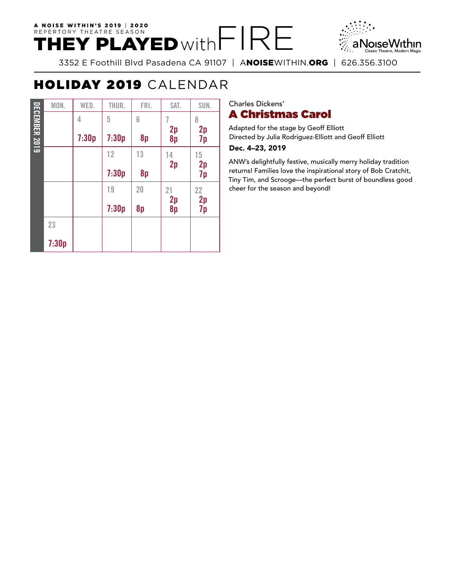# A NOISE WITHIN'S 2019 | 2020 REPERTORY THEATRE SEASON



3352 E Foothill Blvd Pasadena CA 91107 | ANOISEWITHIN.ORG | 626.356.3100

# HOLIDAY 2019 CALENDAR

|                      | MON.  | WED.  | THUR. | FRI. | SAT.                        | SUN.     |
|----------------------|-------|-------|-------|------|-----------------------------|----------|
|                      |       | 4     | 5     | 6    |                             | 8        |
| <b>DECEMBER 2019</b> |       | 7:30p | 7:30p | 8p   | 2p<br>8p                    | 2p<br>7p |
|                      |       |       | 12    | 13   | $\overset{14}{\textbf{2p}}$ | 15       |
|                      |       |       | 7:30p | 8p   |                             | 2p<br>7p |
|                      |       |       | 19    | 20   | 21                          | 22       |
|                      |       |       | 7:30p | 8p   | 2p<br>8p                    | 2p<br>7p |
|                      | 23    |       |       |      |                             |          |
|                      | 7:30p |       |       |      |                             |          |

## Charles Dickens' A Christmas Carol

Adapted for the stage by Geoff Elliott Directed by Julia Rodriguez-Elliott and Geoff Elliott

### Dec. 4–23, 2019

ANW's delightfully festive, musically merry holiday tradition returns! Families love the inspirational story of Bob Cratchit, Tiny Tim, and Scrooge—the perfect burst of boundless good cheer for the season and beyond!